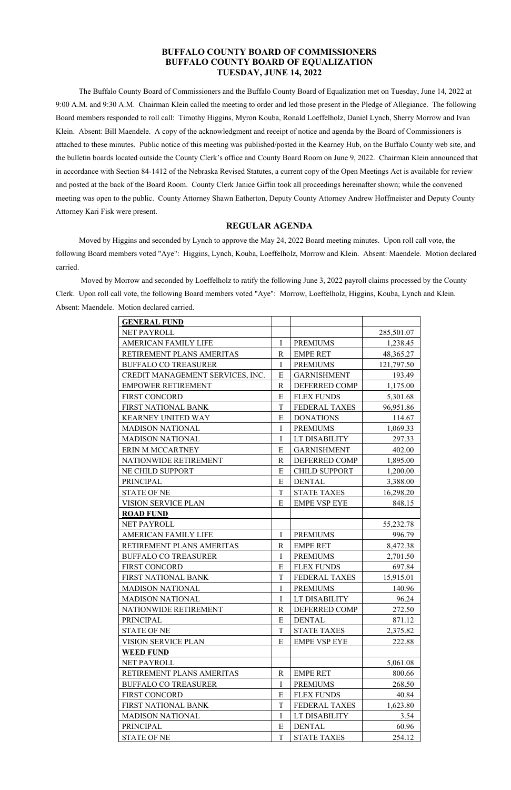# **BUFFALO COUNTY BOARD OF COMMISSIONERS BUFFALO COUNTY BOARD OF EQUALIZATION TUESDAY, JUNE 14, 2022**

 The Buffalo County Board of Commissioners and the Buffalo County Board of Equalization met on Tuesday, June 14, 2022 at 9:00 A.M. and 9:30 A.M. Chairman Klein called the meeting to order and led those present in the Pledge of Allegiance. The following Board members responded to roll call: Timothy Higgins, Myron Kouba, Ronald Loeffelholz, Daniel Lynch, Sherry Morrow and Ivan Klein. Absent: Bill Maendele. A copy of the acknowledgment and receipt of notice and agenda by the Board of Commissioners is attached to these minutes. Public notice of this meeting was published/posted in the Kearney Hub, on the Buffalo County web site, and the bulletin boards located outside the County Clerk's office and County Board Room on June 9, 2022. Chairman Klein announced that in accordance with Section 84-1412 of the Nebraska Revised Statutes, a current copy of the Open Meetings Act is available for review and posted at the back of the Board Room. County Clerk Janice Giffin took all proceedings hereinafter shown; while the convened meeting was open to the public. County Attorney Shawn Eatherton, Deputy County Attorney Andrew Hoffmeister and Deputy County Attorney Kari Fisk were present.

## **REGULAR AGENDA**

 Moved by Higgins and seconded by Lynch to approve the May 24, 2022 Board meeting minutes. Upon roll call vote, the following Board members voted "Aye": Higgins, Lynch, Kouba, Loeffelholz, Morrow and Klein. Absent: Maendele. Motion declared carried.

 Moved by Morrow and seconded by Loeffelholz to ratify the following June 3, 2022 payroll claims processed by the County Clerk. Upon roll call vote, the following Board members voted "Aye": Morrow, Loeffelholz, Higgins, Kouba, Lynch and Klein. Absent: Maendele. Motion declared carried.

| <b>GENERAL FUND</b>              |              |                      |            |
|----------------------------------|--------------|----------------------|------------|
| NET PAYROLL                      |              |                      | 285,501.07 |
| <b>AMERICAN FAMILY LIFE</b>      | I            | <b>PREMIUMS</b>      | 1,238.45   |
| RETIREMENT PLANS AMERITAS        | $\mathbf R$  | <b>EMPE RET</b>      | 48,365.27  |
| <b>BUFFALO CO TREASURER</b>      | $\mathbf I$  | <b>PREMIUMS</b>      | 121,797.50 |
| CREDIT MANAGEMENT SERVICES, INC. | E            | <b>GARNISHMENT</b>   | 193.49     |
| <b>EMPOWER RETIREMENT</b>        | $\mathbf R$  | <b>DEFERRED COMP</b> | 1,175.00   |
| <b>FIRST CONCORD</b>             | E            | <b>FLEX FUNDS</b>    | 5,301.68   |
| FIRST NATIONAL BANK              | T            | <b>FEDERAL TAXES</b> | 96,951.86  |
| <b>KEARNEY UNITED WAY</b>        | E            | <b>DONATIONS</b>     | 114.67     |
| <b>MADISON NATIONAL</b>          | I            | <b>PREMIUMS</b>      | 1,069.33   |
| <b>MADISON NATIONAL</b>          | I            | LT DISABILITY        | 297.33     |
| ERIN M MCCARTNEY                 | E            | <b>GARNISHMENT</b>   | 402.00     |
| NATIONWIDE RETIREMENT            | $\mathbf R$  | DEFERRED COMP        | 1,895.00   |
| NE CHILD SUPPORT                 | E            | <b>CHILD SUPPORT</b> | 1,200.00   |
| <b>PRINCIPAL</b>                 | E            | <b>DENTAL</b>        | 3,388.00   |
| <b>STATE OF NE</b>               | T            | <b>STATE TAXES</b>   | 16,298.20  |
| <b>VISION SERVICE PLAN</b>       | E            | <b>EMPE VSP EYE</b>  | 848.15     |
| <b>ROAD FUND</b>                 |              |                      |            |
| <b>NET PAYROLL</b>               |              |                      | 55,232.78  |
| <b>AMERICAN FAMILY LIFE</b>      | $\mathbf I$  | <b>PREMIUMS</b>      | 996.79     |
| RETIREMENT PLANS AMERITAS        | $\mathbb{R}$ | <b>EMPE RET</b>      | 8,472.38   |
| <b>BUFFALO CO TREASURER</b>      | I            | <b>PREMIUMS</b>      | 2,701.50   |
| <b>FIRST CONCORD</b>             | E            | <b>FLEX FUNDS</b>    | 697.84     |
| <b>FIRST NATIONAL BANK</b>       | T            | <b>FEDERAL TAXES</b> | 15,915.01  |
| <b>MADISON NATIONAL</b>          | $\mathbf I$  | <b>PREMIUMS</b>      | 140.96     |
| <b>MADISON NATIONAL</b>          | I            | LT DISABILITY        | 96.24      |
| NATIONWIDE RETIREMENT            | $\mathbf R$  | DEFERRED COMP        | 272.50     |
| <b>PRINCIPAL</b>                 | E            | <b>DENTAL</b>        | 871.12     |
| <b>STATE OF NE</b>               | $\mathbf T$  | <b>STATE TAXES</b>   | 2,375.82   |
| <b>VISION SERVICE PLAN</b>       | E            | <b>EMPE VSP EYE</b>  | 222.88     |
| <b>WEED FUND</b>                 |              |                      |            |
| NET PAYROLL                      |              |                      | 5,061.08   |
| RETIREMENT PLANS AMERITAS        | $\mathbf R$  | <b>EMPE RET</b>      | 800.66     |
| <b>BUFFALO CO TREASURER</b>      | $\bf{I}$     | <b>PREMIUMS</b>      | 268.50     |
| <b>FIRST CONCORD</b>             | E            | <b>FLEX FUNDS</b>    | 40.84      |
| FIRST NATIONAL BANK              | $\mathbf T$  | <b>FEDERAL TAXES</b> | 1,623.80   |
| <b>MADISON NATIONAL</b>          | $\bf{I}$     | LT DISABILITY        | 3.54       |
| <b>PRINCIPAL</b>                 | E            | <b>DENTAL</b>        | 60.96      |
| <b>STATE OF NE</b>               | $\mathbf T$  | <b>STATE TAXES</b>   | 254.12     |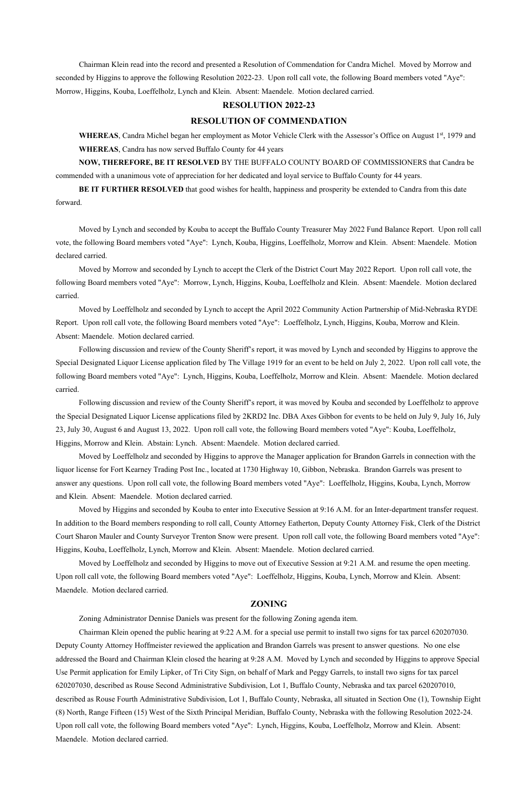Chairman Klein read into the record and presented a Resolution of Commendation for Candra Michel. Moved by Morrow and seconded by Higgins to approve the following Resolution 2022-23. Upon roll call vote, the following Board members voted "Aye": Morrow, Higgins, Kouba, Loeffelholz, Lynch and Klein. Absent: Maendele. Motion declared carried.

WHEREAS, Candra Michel began her employment as Motor Vehicle Clerk with the Assessor's Office on August 1<sup>st</sup>, 1979 and **WHEREAS**, Candra has now served Buffalo County for 44 years

#### **RESOLUTION 2022-23**

### **RESOLUTION OF COMMENDATION**

**NOW, THEREFORE, BE IT RESOLVED** BY THE BUFFALO COUNTY BOARD OF COMMISSIONERS that Candra be commended with a unanimous vote of appreciation for her dedicated and loyal service to Buffalo County for 44 years.

**BE IT FURTHER RESOLVED** that good wishes for health, happiness and prosperity be extended to Candra from this date forward.

 Moved by Lynch and seconded by Kouba to accept the Buffalo County Treasurer May 2022 Fund Balance Report. Upon roll call vote, the following Board members voted "Aye": Lynch, Kouba, Higgins, Loeffelholz, Morrow and Klein. Absent: Maendele. Motion declared carried.

 Moved by Morrow and seconded by Lynch to accept the Clerk of the District Court May 2022 Report. Upon roll call vote, the following Board members voted "Aye": Morrow, Lynch, Higgins, Kouba, Loeffelholz and Klein. Absent: Maendele. Motion declared carried.

 Moved by Loeffelholz and seconded by Lynch to accept the April 2022 Community Action Partnership of Mid-Nebraska RYDE Report. Upon roll call vote, the following Board members voted "Aye": Loeffelholz, Lynch, Higgins, Kouba, Morrow and Klein. Absent: Maendele. Motion declared carried.

 Following discussion and review of the County Sheriff's report, it was moved by Lynch and seconded by Higgins to approve the Special Designated Liquor License application filed by The Village 1919 for an event to be held on July 2, 2022. Upon roll call vote, the following Board members voted "Aye": Lynch, Higgins, Kouba, Loeffelholz, Morrow and Klein. Absent: Maendele. Motion declared carried.

 Following discussion and review of the County Sheriff's report, it was moved by Kouba and seconded by Loeffelholz to approve the Special Designated Liquor License applications filed by 2KRD2 Inc. DBA Axes Gibbon for events to be held on July 9, July 16, July 23, July 30, August 6 and August 13, 2022. Upon roll call vote, the following Board members voted "Aye": Kouba, Loeffelholz, Higgins, Morrow and Klein. Abstain: Lynch. Absent: Maendele. Motion declared carried.

 Moved by Loeffelholz and seconded by Higgins to approve the Manager application for Brandon Garrels in connection with the liquor license for Fort Kearney Trading Post Inc., located at 1730 Highway 10, Gibbon, Nebraska. Brandon Garrels was present to answer any questions. Upon roll call vote, the following Board members voted "Aye": Loeffelholz, Higgins, Kouba, Lynch, Morrow and Klein. Absent: Maendele. Motion declared carried.

 Moved by Higgins and seconded by Kouba to enter into Executive Session at 9:16 A.M. for an Inter-department transfer request. In addition to the Board members responding to roll call, County Attorney Eatherton, Deputy County Attorney Fisk, Clerk of the District Court Sharon Mauler and County Surveyor Trenton Snow were present. Upon roll call vote, the following Board members voted "Aye": Higgins, Kouba, Loeffelholz, Lynch, Morrow and Klein. Absent: Maendele. Motion declared carried.

 Moved by Loeffelholz and seconded by Higgins to move out of Executive Session at 9:21 A.M. and resume the open meeting. Upon roll call vote, the following Board members voted "Aye": Loeffelholz, Higgins, Kouba, Lynch, Morrow and Klein. Absent:

Maendele. Motion declared carried.

### **ZONING**

 Zoning Administrator Dennise Daniels was present for the following Zoning agenda item. Chairman Klein opened the public hearing at 9:22 A.M. for a special use permit to install two signs for tax parcel 620207030. Deputy County Attorney Hoffmeister reviewed the application and Brandon Garrels was present to answer questions. No one else addressed the Board and Chairman Klein closed the hearing at 9:28 A.M. Moved by Lynch and seconded by Higgins to approve Special Use Permit application for Emily Lipker, of Tri City Sign, on behalf of Mark and Peggy Garrels, to install two signs for tax parcel 620207030, described as Rouse Second Administrative Subdivision, Lot 1, Buffalo County, Nebraska and tax parcel 620207010, described as Rouse Fourth Administrative Subdivision, Lot 1, Buffalo County, Nebraska, all situated in Section One (1), Township Eight (8) North, Range Fifteen (15) West of the Sixth Principal Meridian, Buffalo County, Nebraska with the following Resolution 2022-24. Upon roll call vote, the following Board members voted "Aye": Lynch, Higgins, Kouba, Loeffelholz, Morrow and Klein. Absent: Maendele. Motion declared carried.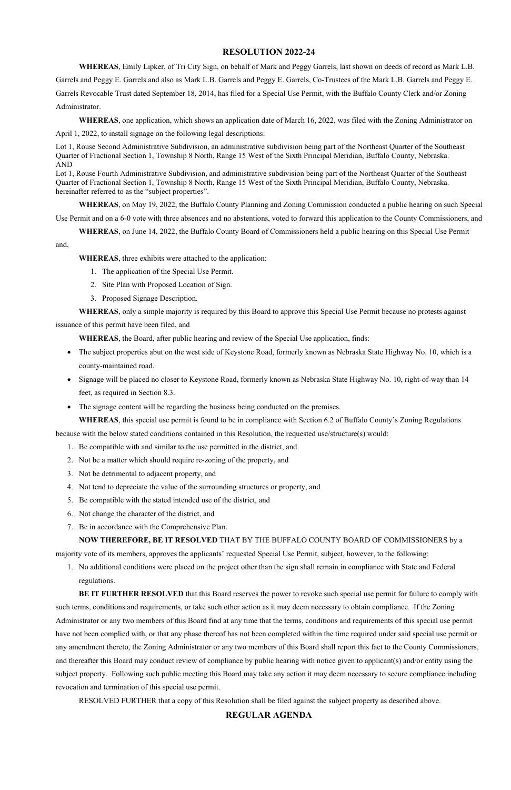## **RESOLUTION 2022-24**

**WHEREAS**, Emily Lipker, of Tri City Sign, on behalf of Mark and Peggy Garrels, last shown on deeds of record as Mark L.B.

Garrels and Peggy E. Garrels and also as Mark L.B. Garrels and Peggy E. Garrels, Co-Trustees of the Mark L.B. Garrels and Peggy E. Garrels Revocable Trust dated September 18, 2014, has filed for a Special Use Permit, with the Buffalo County Clerk and/or Zoning Administrator.

Lot 1, Rouse Fourth Administrative Subdivision, and administrative subdivision being part of the Northeast Quarter of the Southeast Quarter of Fractional Section 1, Township 8 North, Range 15 West of the Sixth Principal Meridian, Buffalo County, Nebraska. hereinafter referred to as the "subject properties".

**WHEREAS**, one application, which shows an application date of March 16, 2022, was filed with the Zoning Administrator on April 1, 2022, to install signage on the following legal descriptions:

Lot 1, Rouse Second Administrative Subdivision, an administrative subdivision being part of the Northeast Quarter of the Southeast Quarter of Fractional Section 1, Township 8 North, Range 15 West of the Sixth Principal Meridian, Buffalo County, Nebraska. AND

**WHEREAS**, on May 19, 2022, the Buffalo County Planning and Zoning Commission conducted a public hearing on such Special

Use Permit and on a 6-0 vote with three absences and no abstentions, voted to forward this application to the County Commissioners, and

**WHEREAS**, on June 14, 2022, the Buffalo County Board of Commissioners held a public hearing on this Special Use Permit

### and,

**WHEREAS**, three exhibits were attached to the application:

- 1. The application of the Special Use Permit.
- 2. Site Plan with Proposed Location of Sign.
- 3. Proposed Signage Description.

**WHEREAS**, only a simple majority is required by this Board to approve this Special Use Permit because no protests against

issuance of this permit have been filed, and

**WHEREAS**, the Board, after public hearing and review of the Special Use application, finds:

- The subject properties abut on the west side of Keystone Road, formerly known as Nebraska State Highway No. 10, which is a county-maintained road.
- Signage will be placed no closer to Keystone Road, formerly known as Nebraska State Highway No. 10, right-of-way than 14 feet, as required in Section 8.3.
- The signage content will be regarding the business being conducted on the premises.

**WHEREAS**, this special use permit is found to be in compliance with Section 6.2 of Buffalo County's Zoning Regulations

because with the below stated conditions contained in this Resolution, the requested use/structure(s) would:

- 1. Be compatible with and similar to the use permitted in the district, and
- 2. Not be a matter which should require re-zoning of the property, and
- 3. Not be detrimental to adjacent property, and
- 4. Not tend to depreciate the value of the surrounding structures or property, and
- 5. Be compatible with the stated intended use of the district, and
- 6. Not change the character of the district, and
- 7. Be in accordance with the Comprehensive Plan.

## **NOW THEREFORE, BE IT RESOLVED** THAT BY THE BUFFALO COUNTY BOARD OF COMMISSIONERS by a

majority vote of its members, approves the applicants' requested Special Use Permit, subject, however, to the following:

1. No additional conditions were placed on the project other than the sign shall remain in compliance with State and Federal regulations.

**BE IT FURTHER RESOLVED** that this Board reserves the power to revoke such special use permit for failure to comply with such terms, conditions and requirements, or take such other action as it may deem necessary to obtain compliance. If the Zoning Administrator or any two members of this Board find at any time that the terms, conditions and requirements of this special use permit have not been complied with, or that any phase thereof has not been completed within the time required under said special use permit or any amendment thereto, the Zoning Administrator or any two members of this Board shall report this fact to the County Commissioners, and thereafter this Board may conduct review of compliance by public hearing with notice given to applicant(s) and/or entity using the subject property. Following such public meeting this Board may take any action it may deem necessary to secure compliance including revocation and termination of this special use permit.

RESOLVED FURTHER that a copy of this Resolution shall be filed against the subject property as described above.

# **REGULAR AGENDA**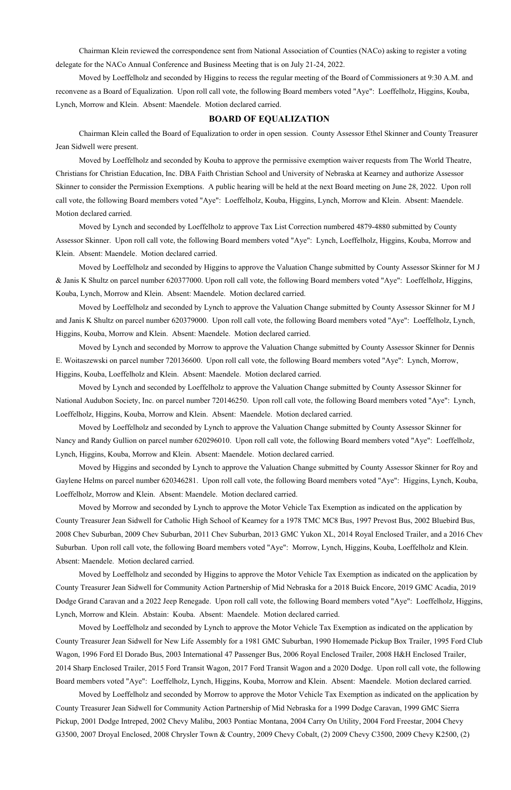Chairman Klein reviewed the correspondence sent from National Association of Counties (NACo) asking to register a voting delegate for the NACo Annual Conference and Business Meeting that is on July 21-24, 2022.

Moved by Loeffelholz and seconded by Higgins to recess the regular meeting of the Board of Commissioners at 9:30 A.M. and reconvene as a Board of Equalization. Upon roll call vote, the following Board members voted "Aye": Loeffelholz, Higgins, Kouba, Lynch, Morrow and Klein. Absent: Maendele. Motion declared carried.

#### **BOARD OF EQUALIZATION**

 Chairman Klein called the Board of Equalization to order in open session. County Assessor Ethel Skinner and County Treasurer Jean Sidwell were present.

Moved by Loeffelholz and seconded by Kouba to approve the permissive exemption waiver requests from The World Theatre, Christians for Christian Education, Inc. DBA Faith Christian School and University of Nebraska at Kearney and authorize Assessor Skinner to consider the Permission Exemptions. A public hearing will be held at the next Board meeting on June 28, 2022. Upon roll call vote, the following Board members voted "Aye": Loeffelholz, Kouba, Higgins, Lynch, Morrow and Klein. Absent: Maendele. Motion declared carried.

Moved by Lynch and seconded by Loeffelholz to approve Tax List Correction numbered 4879-4880 submitted by County Assessor Skinner. Upon roll call vote, the following Board members voted "Aye": Lynch, Loeffelholz, Higgins, Kouba, Morrow and Klein. Absent: Maendele. Motion declared carried.

Moved by Loeffelholz and seconded by Higgins to approve the Valuation Change submitted by County Assessor Skinner for M J & Janis K Shultz on parcel number 620377000. Upon roll call vote, the following Board members voted "Aye": Loeffelholz, Higgins, Kouba, Lynch, Morrow and Klein. Absent: Maendele. Motion declared carried.

Moved by Loeffelholz and seconded by Lynch to approve the Valuation Change submitted by County Assessor Skinner for M J and Janis K Shultz on parcel number 620379000. Upon roll call vote, the following Board members voted "Aye": Loeffelholz, Lynch, Higgins, Kouba, Morrow and Klein. Absent: Maendele. Motion declared carried.

Moved by Lynch and seconded by Morrow to approve the Valuation Change submitted by County Assessor Skinner for Dennis E. Woitaszewski on parcel number 720136600. Upon roll call vote, the following Board members voted "Aye": Lynch, Morrow, Higgins, Kouba, Loeffelholz and Klein. Absent: Maendele. Motion declared carried.

Moved by Lynch and seconded by Loeffelholz to approve the Valuation Change submitted by County Assessor Skinner for National Audubon Society, Inc. on parcel number 720146250. Upon roll call vote, the following Board members voted "Aye": Lynch, Loeffelholz, Higgins, Kouba, Morrow and Klein. Absent: Maendele. Motion declared carried.

Moved by Loeffelholz and seconded by Lynch to approve the Valuation Change submitted by County Assessor Skinner for Nancy and Randy Gullion on parcel number 620296010. Upon roll call vote, the following Board members voted "Aye": Loeffelholz, Lynch, Higgins, Kouba, Morrow and Klein. Absent: Maendele. Motion declared carried.

Moved by Higgins and seconded by Lynch to approve the Valuation Change submitted by County Assessor Skinner for Roy and Gaylene Helms on parcel number 620346281. Upon roll call vote, the following Board members voted "Aye": Higgins, Lynch, Kouba, Loeffelholz, Morrow and Klein. Absent: Maendele. Motion declared carried.

Moved by Morrow and seconded by Lynch to approve the Motor Vehicle Tax Exemption as indicated on the application by County Treasurer Jean Sidwell for Catholic High School of Kearney for a 1978 TMC MC8 Bus, 1997 Prevost Bus, 2002 Bluebird Bus, 2008 Chev Suburban, 2009 Chev Suburban, 2011 Chev Suburban, 2013 GMC Yukon XL, 2014 Royal Enclosed Trailer, and a 2016 Chev Suburban. Upon roll call vote, the following Board members voted "Aye": Morrow, Lynch, Higgins, Kouba, Loeffelholz and Klein. Absent: Maendele. Motion declared carried.

Moved by Loeffelholz and seconded by Higgins to approve the Motor Vehicle Tax Exemption as indicated on the application by

County Treasurer Jean Sidwell for Community Action Partnership of Mid Nebraska for a 2018 Buick Encore, 2019 GMC Acadia, 2019 Dodge Grand Caravan and a 2022 Jeep Renegade. Upon roll call vote, the following Board members voted "Aye": Loeffelholz, Higgins, Lynch, Morrow and Klein. Abstain: Kouba. Absent: Maendele. Motion declared carried.

Moved by Loeffelholz and seconded by Lynch to approve the Motor Vehicle Tax Exemption as indicated on the application by County Treasurer Jean Sidwell for New Life Assembly for a 1981 GMC Suburban, 1990 Homemade Pickup Box Trailer, 1995 Ford Club Wagon, 1996 Ford El Dorado Bus, 2003 International 47 Passenger Bus, 2006 Royal Enclosed Trailer, 2008 H&H Enclosed Trailer, 2014 Sharp Enclosed Trailer, 2015 Ford Transit Wagon, 2017 Ford Transit Wagon and a 2020 Dodge. Upon roll call vote, the following Board members voted "Aye": Loeffelholz, Lynch, Higgins, Kouba, Morrow and Klein. Absent: Maendele. Motion declared carried. Moved by Loeffelholz and seconded by Morrow to approve the Motor Vehicle Tax Exemption as indicated on the application by County Treasurer Jean Sidwell for Community Action Partnership of Mid Nebraska for a 1999 Dodge Caravan, 1999 GMC Sierra Pickup, 2001 Dodge Intreped, 2002 Chevy Malibu, 2003 Pontiac Montana, 2004 Carry On Utility, 2004 Ford Freestar, 2004 Chevy G3500, 2007 Droyal Enclosed, 2008 Chrysler Town & Country, 2009 Chevy Cobalt, (2) 2009 Chevy C3500, 2009 Chevy K2500, (2)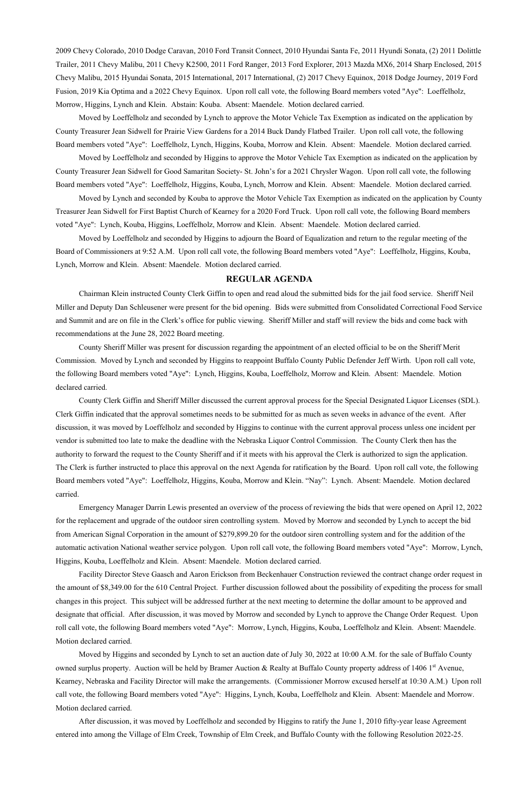2009 Chevy Colorado, 2010 Dodge Caravan, 2010 Ford Transit Connect, 2010 Hyundai Santa Fe, 2011 Hyundi Sonata, (2) 2011 Dolittle Trailer, 2011 Chevy Malibu, 2011 Chevy K2500, 2011 Ford Ranger, 2013 Ford Explorer, 2013 Mazda MX6, 2014 Sharp Enclosed, 2015 Chevy Malibu, 2015 Hyundai Sonata, 2015 International, 2017 International, (2) 2017 Chevy Equinox, 2018 Dodge Journey, 2019 Ford Fusion, 2019 Kia Optima and a 2022 Chevy Equinox. Upon roll call vote, the following Board members voted "Aye": Loeffelholz, Morrow, Higgins, Lynch and Klein. Abstain: Kouba. Absent: Maendele. Motion declared carried.

Moved by Loeffelholz and seconded by Lynch to approve the Motor Vehicle Tax Exemption as indicated on the application by County Treasurer Jean Sidwell for Prairie View Gardens for a 2014 Buck Dandy Flatbed Trailer. Upon roll call vote, the following Board members voted "Aye": Loeffelholz, Lynch, Higgins, Kouba, Morrow and Klein. Absent: Maendele. Motion declared carried.

Moved by Loeffelholz and seconded by Higgins to approve the Motor Vehicle Tax Exemption as indicated on the application by County Treasurer Jean Sidwell for Good Samaritan Society- St. John's for a 2021 Chrysler Wagon. Upon roll call vote, the following Board members voted "Aye": Loeffelholz, Higgins, Kouba, Lynch, Morrow and Klein. Absent: Maendele. Motion declared carried.

Moved by Lynch and seconded by Kouba to approve the Motor Vehicle Tax Exemption as indicated on the application by County Treasurer Jean Sidwell for First Baptist Church of Kearney for a 2020 Ford Truck. Upon roll call vote, the following Board members voted "Aye": Lynch, Kouba, Higgins, Loeffelholz, Morrow and Klein. Absent: Maendele. Motion declared carried.

Moved by Loeffelholz and seconded by Higgins to adjourn the Board of Equalization and return to the regular meeting of the Board of Commissioners at 9:52 A.M. Upon roll call vote, the following Board members voted "Aye": Loeffelholz, Higgins, Kouba, Lynch, Morrow and Klein. Absent: Maendele. Motion declared carried.

#### **REGULAR AGENDA**

Chairman Klein instructed County Clerk Giffin to open and read aloud the submitted bids for the jail food service. Sheriff Neil Miller and Deputy Dan Schleusener were present for the bid opening. Bids were submitted from Consolidated Correctional Food Service and Summit and are on file in the Clerk's office for public viewing. Sheriff Miller and staff will review the bids and come back with recommendations at the June 28, 2022 Board meeting.

County Sheriff Miller was present for discussion regarding the appointment of an elected official to be on the Sheriff Merit Commission. Moved by Lynch and seconded by Higgins to reappoint Buffalo County Public Defender Jeff Wirth. Upon roll call vote, the following Board members voted "Aye": Lynch, Higgins, Kouba, Loeffelholz, Morrow and Klein. Absent: Maendele. Motion declared carried.

County Clerk Giffin and Sheriff Miller discussed the current approval process for the Special Designated Liquor Licenses (SDL). Clerk Giffin indicated that the approval sometimes needs to be submitted for as much as seven weeks in advance of the event. After discussion, it was moved by Loeffelholz and seconded by Higgins to continue with the current approval process unless one incident per vendor is submitted too late to make the deadline with the Nebraska Liquor Control Commission. The County Clerk then has the authority to forward the request to the County Sheriff and if it meets with his approval the Clerk is authorized to sign the application. The Clerk is further instructed to place this approval on the next Agenda for ratification by the Board. Upon roll call vote, the following Board members voted "Aye": Loeffelholz, Higgins, Kouba, Morrow and Klein. "Nay": Lynch. Absent: Maendele. Motion declared carried.

Emergency Manager Darrin Lewis presented an overview of the process of reviewing the bids that were opened on April 12, 2022 for the replacement and upgrade of the outdoor siren controlling system. Moved by Morrow and seconded by Lynch to accept the bid from American Signal Corporation in the amount of \$279,899.20 for the outdoor siren controlling system and for the addition of the automatic activation National weather service polygon. Upon roll call vote, the following Board members voted "Aye": Morrow, Lynch, Higgins, Kouba, Loeffelholz and Klein. Absent: Maendele. Motion declared carried.

Facility Director Steve Gaasch and Aaron Erickson from Beckenhauer Construction reviewed the contract change order request in

the amount of \$8,349.00 for the 610 Central Project. Further discussion followed about the possibility of expediting the process for small changes in this project. This subject will be addressed further at the next meeting to determine the dollar amount to be approved and designate that official. After discussion, it was moved by Morrow and seconded by Lynch to approve the Change Order Request. Upon roll call vote, the following Board members voted "Aye": Morrow, Lynch, Higgins, Kouba, Loeffelholz and Klein. Absent: Maendele. Motion declared carried.

Moved by Higgins and seconded by Lynch to set an auction date of July 30, 2022 at 10:00 A.M. for the sale of Buffalo County owned surplus property. Auction will be held by Bramer Auction & Realty at Buffalo County property address of 1406 1<sup>st</sup> Avenue, Kearney, Nebraska and Facility Director will make the arrangements. (Commissioner Morrow excused herself at 10:30 A.M.) Upon roll call vote, the following Board members voted "Aye": Higgins, Lynch, Kouba, Loeffelholz and Klein. Absent: Maendele and Morrow. Motion declared carried.

After discussion, it was moved by Loeffelholz and seconded by Higgins to ratify the June 1, 2010 fifty-year lease Agreement entered into among the Village of Elm Creek, Township of Elm Creek, and Buffalo County with the following Resolution 2022-25.